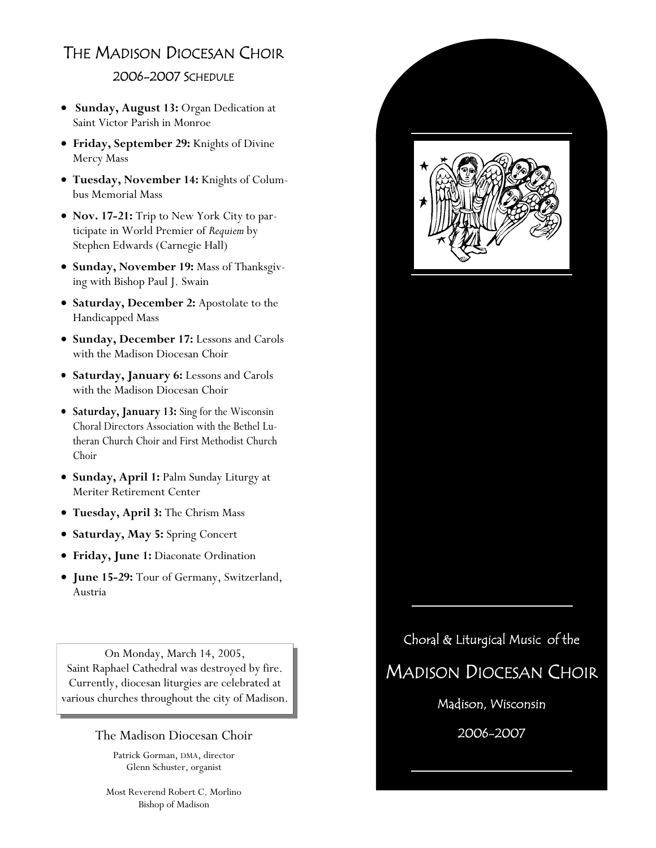## THE MADISON DIOCESAN CHOIR

## 2006-2007 SCHEDULE

- **Sunday, August 13:** Organ Dedication at Saint Victor Parish in Monroe
- **Friday, September 29:** Knights of Divine Mercy Mass
- **Tuesday, November 14:** Knights of Columbus Memorial Mass
- **Nov. 17-21:** Trip to New York City to participate in World Premier of *Requiem* by Stephen Edwards (Carnegie Hall)
- **Sunday, November 19:** Mass of Thanksgiving with Bishop Paul J. Swain
- **Saturday, December 2:** Apostolate to the Handicapped Mass
- **Sunday, December 17:** Lessons and Carols with the Madison Diocesan Choir
- **Saturday, January 6:** Lessons and Carols with the Madison Diocesan Choir
- **Saturday, January 13:** Sing for the Wisconsin Choral Directors Association with the Bethel Lutheran Church Choir and First Methodist Church Choir
- **Sunday, April 1:** Palm Sunday Liturgy at Meriter Retirement Center
- **Tuesday, April 3:** The Chrism Mass
- **Saturday, May 5:** Spring Concert
- **Friday, June 1:** Diaconate Ordination
- **June 15-29:** Tour of Germany, Switzerland, Austria

On Monday, March 14, 2005, Saint Raphael Cathedral was destroyed by fire. Currently, diocesan liturgies are celebrated at various churches throughout the city of Madison.

## The Madison Diocesan Choir

Patrick Gorman, DMA, director Glenn Schuster, organist

Most Reverend Robert C. Morlino Bishop of Madison



Madison, Wisconsin

2006-2007